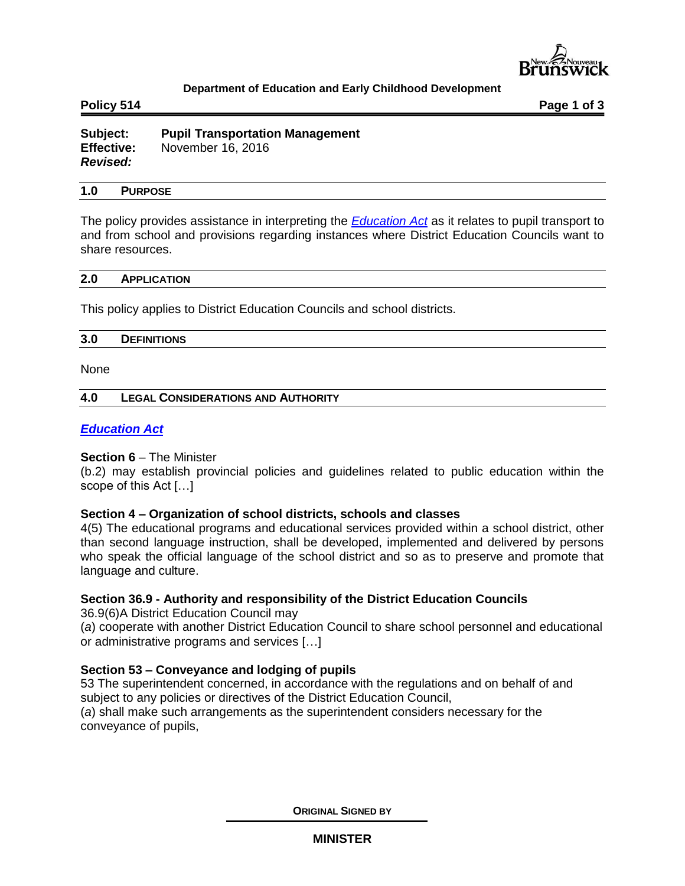

## **Department of Education and Early Childhood Development**

**Policy 514 Page 1 of 3**

**Subject: Pupil Transportation Management Effective:** November 16, 2016 *Revised:*

## **1.0 PURPOSE**

The policy provides assistance in interpreting the *[Education Act](http://laws.gnb.ca/en/ShowPdf/cs/E-1.12.pdf)* as it relates to pupil transport to and from school and provisions regarding instances where District Education Councils want to share resources.

### **2.0 APPLICATION**

This policy applies to District Education Councils and school districts.

### **3.0 DEFINITIONS**

None

### **4.0 LEGAL CONSIDERATIONS AND AUTHORITY**

## *[Education Act](http://laws.gnb.ca/en/ShowPdf/cs/E-1.12.pdf)*

### **Section 6** – The Minister

(b.2) may establish provincial policies and guidelines related to public education within the scope of this Act […]

### **Section 4 – Organization of school districts, schools and classes**

4(5) The educational programs and educational services provided within a school district, other than second language instruction, shall be developed, implemented and delivered by persons who speak the official language of the school district and so as to preserve and promote that language and culture.

# **Section 36.9 - Authority and responsibility of the District Education Councils**

[36.9\(6\)A](javascript:displayOtherLang() District Education Council may

(*a*) cooperate with another District Education Council to share school personnel and educational or administrative programs and services […]

### **Section 53 – Conveyance and lodging of pupils**

[53](javascript:displayOtherLang() The superintendent concerned, in accordance with the regulations and on behalf of and subject to any policies or directives of the District Education Council, (*a*) shall make such arrangements as the superintendent considers necessary for the conveyance of pupils,

**ORIGINAL SIGNED BY**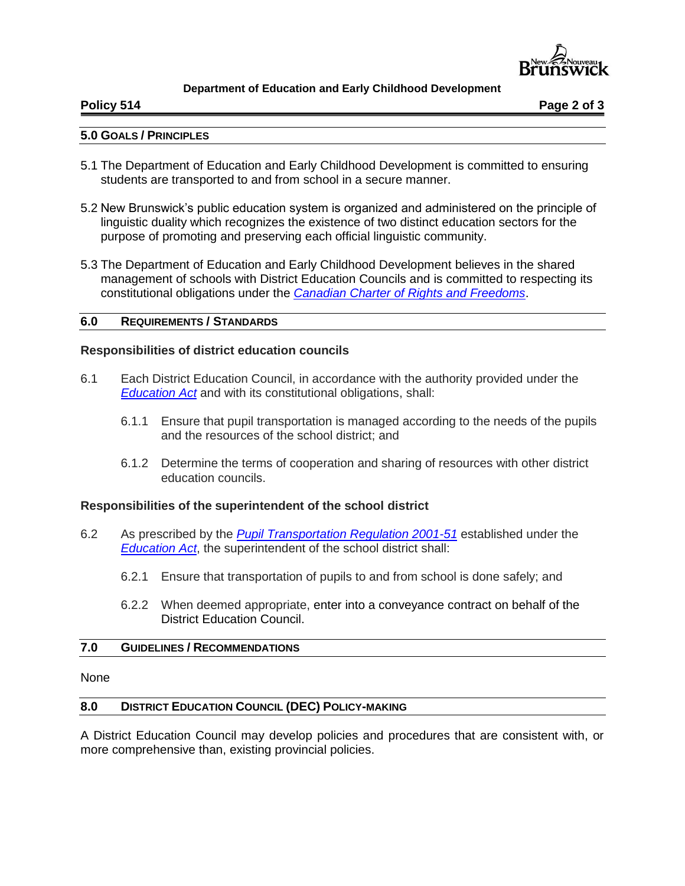

## **Department of Education and Early Childhood Development**

**Policy 514 Page 2 of 3**

### **5.0 GOALS / PRINCIPLES**

- 5.1 The Department of Education and Early Childhood Development is committed to ensuring students are transported to and from school in a secure manner.
- 5.2 New Brunswick's public education system is organized and administered on the principle of linguistic duality which recognizes the existence of two distinct education sectors for the purpose of promoting and preserving each official linguistic community.
- 5.3 The Department of Education and Early Childhood Development believes in the shared management of schools with District Education Councils and is committed to respecting its constitutional obligations under the *[Canadian Charter of Rights and Freedoms](http://laws-lois.justice.gc.ca/eng/const/page-15.html)*.

# **6.0 REQUIREMENTS / STANDARDS**

## **Responsibilities of district education councils**

- 6.1 Each District Education Council, in accordance with the authority provided under the *[Education Act](http://laws.gnb.ca/en/ShowPdf/cs/E-1.12.pdf)* and with its constitutional obligations, shall:
	- 6.1.1 Ensure that pupil transportation is managed according to the needs of the pupils and the resources of the school district; and
	- 6.1.2 Determine the terms of cooperation and sharing of resources with other district education councils.

### **Responsibilities of the superintendent of the school district**

- 6.2 As prescribed by the *[Pupil Transportation Regulation 2001-51](http://laws.gnb.ca/en/ShowPdf/cr/2001-51.pdf)* established under the *[Education Act](http://laws.gnb.ca/en/ShowPdf/cs/E-1.12.pdf)*, the superintendent of the school district shall:
	- 6.2.1 Ensure that transportation of pupils to and from school is done safely; and
	- 6.2.2 When deemed appropriate, enter into a conveyance contract on behalf of the District Education Council.

### **7.0 GUIDELINES / RECOMMENDATIONS**

None

### **8.0 DISTRICT EDUCATION COUNCIL (DEC) POLICY-MAKING**

A District Education Council may develop policies and procedures that are consistent with, or more comprehensive than, existing provincial policies.